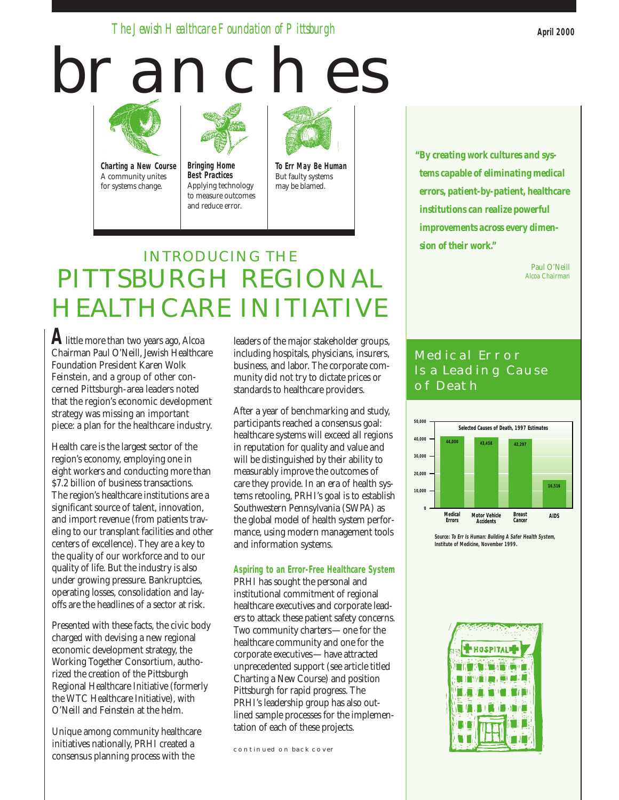*The Jewish Healthcare Foundation of Pittsburgh*

# **BRANCHES**



**Charting a New Course** A community unites for systems change.



to measure outcomes and reduce error.



**To Err May Be Human** But faulty systems may be blamed.

# INTRODUCING THE PITTSBURGH REGIONAL HEALTHCARE INITIATIVE

**A**little more than two years ago, Alcoa Chairman Paul O'Neill, Jewish Healthcare Foundation President Karen Wolk Feinstein, and a group of other concerned Pittsburgh-area leaders noted that the region's economic development strategy was missing an important piece: a plan for the healthcare industry.

Health care is the largest sector of the region's economy, employing one in eight workers and conducting more than \$7.2 billion of business transactions. The region's healthcare institutions are a significant source of talent, innovation, and import revenue (from patients traveling to our transplant facilities and other centers of excellence). They are a key to the quality of our workforce and to our quality of life. But the industry is also under growing pressure. Bankruptcies, operating losses, consolidation and layoffs are the headlines of a sector at risk.

Presented with these facts, the civic body charged with devising a new regional economic development strategy, the Working Together Consortium, authorized the creation of the Pittsburgh Regional Healthcare Initiative (formerly the WTC Healthcare Initiative), with O'Neill and Feinstein at the helm.

Unique among community healthcare initiatives nationally, PRHI created a consensus planning process with the

leaders of the major stakeholder groups, including hospitals, physicians, insurers, business, and labor. The corporate community did not try to dictate prices or standards to healthcare providers.

After a year of benchmarking and study, participants reached a consensus goal: healthcare systems will exceed all regions in reputation for quality and value and will be distinguished by their ability to measurably improve the outcomes of care they provide. In an era of health systems retooling, PRHI's goal is to establish Southwestern Pennsylvania (SWPA) as the global model of health system performance, using modern management tools and information systems.

#### **Aspiring to an Error-Free Healthcare System**

PRHI has sought the personal and institutional commitment of regional healthcare executives and corporate leaders to attack these patient safety concerns. Two community charters—one for the healthcare community and one for the corporate executives—have attracted unprecedented support (see article titled Charting a New Course) and position Pittsburgh for rapid progress. The PRHI's leadership group has also outlined sample processes for the implementation of each of these projects.

continued on back cover

*tems capable of eliminating medical errors, patient-by-patient, healthcare institutions can realize powerful improvements across every dimension of their work."*

*"By creating work cultures and sys-*

Paul O'Neill *Alcoa Chairman*

# Medical Error Is a Leading Cause OF DEATH



**Source: To Err Is Human: Building A Safer Health System, Institute of Medicine, November 1999.**

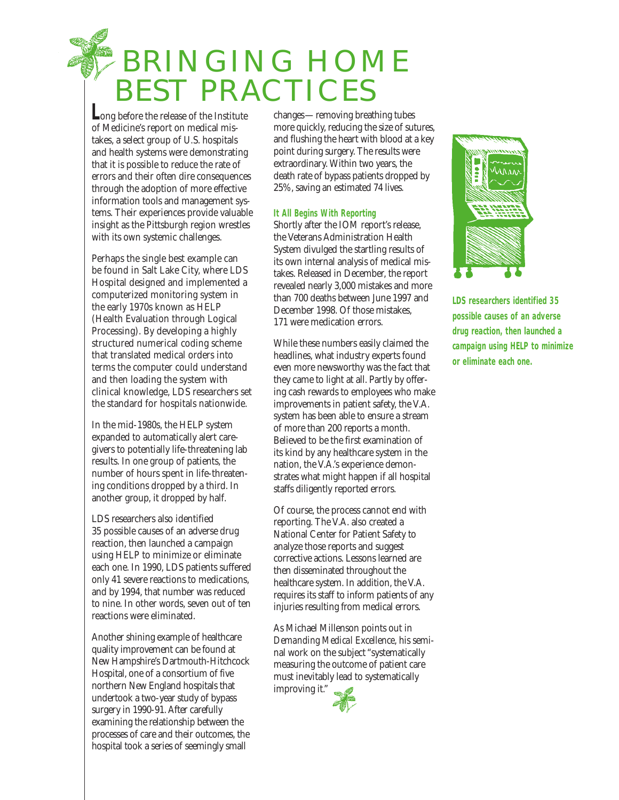# BRINGING HOME BEST PRACTICES

**L**ong before the release of the Institute of Medicine's report on medical mistakes, a select group of U.S. hospitals and health systems were demonstrating that it is possible to reduce the rate of errors and their often dire consequences through the adoption of more effective information tools and management systems. Their experiences provide valuable insight as the Pittsburgh region wrestles with its own systemic challenges.

Perhaps the single best example can be found in Salt Lake City, where LDS Hospital designed and implemented a computerized monitoring system in the early 1970s known as HELP (Health Evaluation through Logical Processing). By developing a highly structured numerical coding scheme that translated medical orders into terms the computer could understand and then loading the system with clinical knowledge, LDS researchers set the standard for hospitals nationwide.

In the mid-1980s, the HELP system expanded to automatically alert caregivers to potentially life-threatening lab results. In one group of patients, the number of hours spent in life-threatening conditions dropped by a third. In another group, it dropped by half.

LDS researchers also identified 35 possible causes of an adverse drug reaction, then launched a campaign using HELP to minimize or eliminate each one. In 1990, LDS patients suffered only 41 severe reactions to medications, and by 1994, that number was reduced to nine. In other words, seven out of ten reactions were eliminated.

Another shining example of healthcare quality improvement can be found at New Hampshire's Dartmouth-Hitchcock Hospital, one of a consortium of five northern New England hospitals that undertook a two-year study of bypass surgery in 1990-91. After carefully examining the relationship between the processes of care and their outcomes, the hospital took a series of seemingly small

changes—removing breathing tubes more quickly, reducing the size of sutures, and flushing the heart with blood at a key point during surgery. The results were extraordinary. Within two years, the death rate of bypass patients dropped by 25%, saving an estimated 74 lives.

#### **It All Begins With Reporting**

Shortly after the IOM report's release, the Veterans Administration Health System divulged the startling results of its own internal analysis of medical mistakes. Released in December, the report revealed nearly 3,000 mistakes and more than 700 deaths between June 1997 and December 1998. Of those mistakes, 171 were medication errors.

While these numbers easily claimed the headlines, what industry experts found even more newsworthy was the fact that they came to light at all. Partly by offering cash rewards to employees who make improvements in patient safety, the V.A. system has been able to ensure a stream of more than 200 reports a month. Believed to be the first examination of its kind by any healthcare system in the nation, the V.A.'s experience demonstrates what might happen if all hospital staffs diligently reported errors.

Of course, the process cannot end with reporting. The V.A. also created a National Center for Patient Safety to analyze those reports and suggest corrective actions. Lessons learned are then disseminated throughout the healthcare system. In addition, the V.A. requires its staff to inform patients of any injuries resulting from medical errors.

As Michael Millenson points out in *Demanding Medical Excellence*, his seminal work on the subject "systematically measuring the outcome of patient care must inevitably lead to systematically improving it."





**LDS researchers identified 35 possible causes of an adverse drug reaction, then launched a campaign using HELP to minimize or eliminate each one.**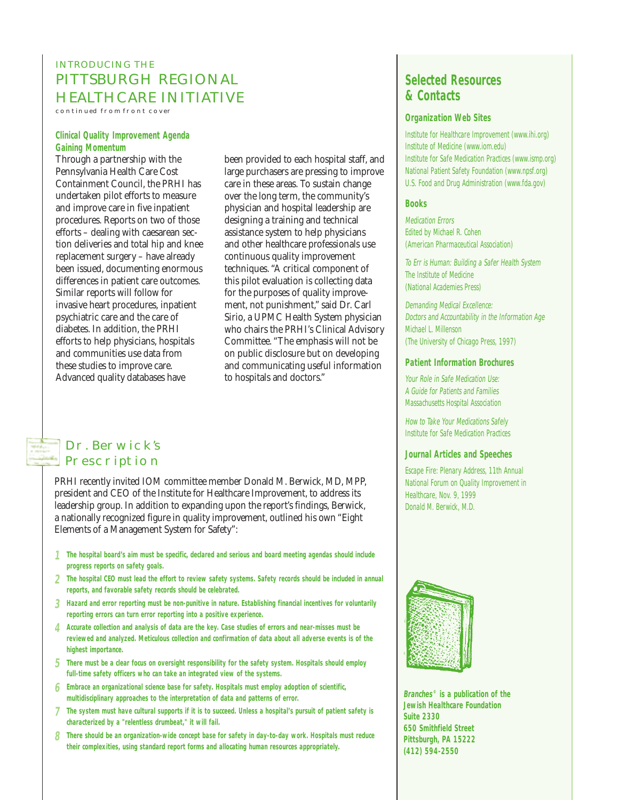# INTRODUCING THE PITTSBURGH REGIONAL HEALTHCARE INITIATIVE

continued from front cover

#### **Clinical Quality Improvement Agenda Gaining Momentum**

Through a partnership with the Pennsylvania Health Care Cost Containment Council, the PRHI has undertaken pilot efforts to measure and improve care in five inpatient procedures. Reports on two of those efforts – dealing with caesarean section deliveries and total hip and knee replacement surgery – have already been issued, documenting enormous differences in patient care outcomes. Similar reports will follow for invasive heart procedures, inpatient psychiatric care and the care of diabetes. In addition, the PRHI efforts to help physicians, hospitals and communities use data from these studies to improve care. Advanced quality databases have

been provided to each hospital staff, and large purchasers are pressing to improve care in these areas. To sustain change over the long term, the community's physician and hospital leadership are designing a training and technical assistance system to help physicians and other healthcare professionals use continuous quality improvement techniques. "A critical component of this pilot evaluation is collecting data for the purposes of quality improvement, not punishment," said Dr. Carl Sirio, a UPMC Health System physician who chairs the PRHI's Clinical Advisory Committee. "The emphasis will not be on public disclosure but on developing and communicating useful information to hospitals and doctors."

#### Dr. Berwick's **PRESCRIPTION**

PRHI recently invited IOM committee member Donald M. Berwick, MD, MPP, president and CEO of the Institute for Healthcare Improvement, to address its leadership group. In addition to expanding upon the report's findings, Berwick, a nationally recognized figure in quality improvement, outlined his own "Eight Elements of a Management System for Safety":

- **1 The hospital board's aim must be specific, declared and serious and board meeting agendas should include progress reports on safety goals.**
- **2 The hospital CEO must lead the effort to review safety systems. Safety records should be included in annual reports, and favorable safety records should be celebrated.**
- **3 Hazard and error reporting must be non-punitive in nature. Establishing financial incentives for voluntarily reporting errors can turn error reporting into a positive experience.**
- **4 Accurate collection and analysis of data are the key. Case studies of errors and near-misses must be reviewed and analyzed. Meticulous collection and confirmation of data about all adverse events is of the highest importance.**
- **5 There must be a clear focus on oversight responsibility for the safety system. Hospitals should employ full-time safety officers who can take an integrated view of the systems.**
- **6 Embrace an organizational science base for safety. Hospitals must employ adoption of scientific, multidisciplinary approaches to the interpretation of data and patterns of error.**
- **7 The system must have cultural supports if it is to succeed. Unless a hospital's pursuit of patient safety is characterized by a "relentless drumbeat," it will fail.**
- **8 There should be an organization-wide concept base for safety in day-to-day work. Hospitals must reduce their complexities, using standard report forms and allocating human resources appropriately.**

## **Selected Resources & Contacts**

#### **Organization Web Sites**

Institute for Healthcare Improvement (www.ihi.org) Institute of Medicine (www.iom.edu) Institute for Safe Medication Practices (www.ismp.org) National Patient Safety Foundation (www.npsf.org) U.S. Food and Drug Administration (www.fda.gov)

#### **Books**

Medication **Errors** Edited by Michael R. Cohen (American Pharmaceutical Association)

To Err is Human: Building a Safer Health System The Institute of Medicine (National Academies Press)

Demanding Medical Excellence: Doctors and Accountability in the Information Age Michael L. Millenson (The University of Chicago Press, 1997)

#### **Patient Information Brochures**

Your Role in Safe Medication Use: A Guide for Patients and Families Massachusetts Hospital Association

How to Take Your Medications Safely Institute for Safe Medication Practices

#### **Journal Articles and Speeches**

Escape Fire: Plenary Address, 11th Annual National Forum on Quality Improvement in Healthcare, Nov. 9, 1999 Donald M. Berwick, M.D.



**Branches© is a publication of the Jewish Healthcare Foundation Suite 2330 650 Smithfield Street Pittsburgh, PA 15222 (412) 594-2550**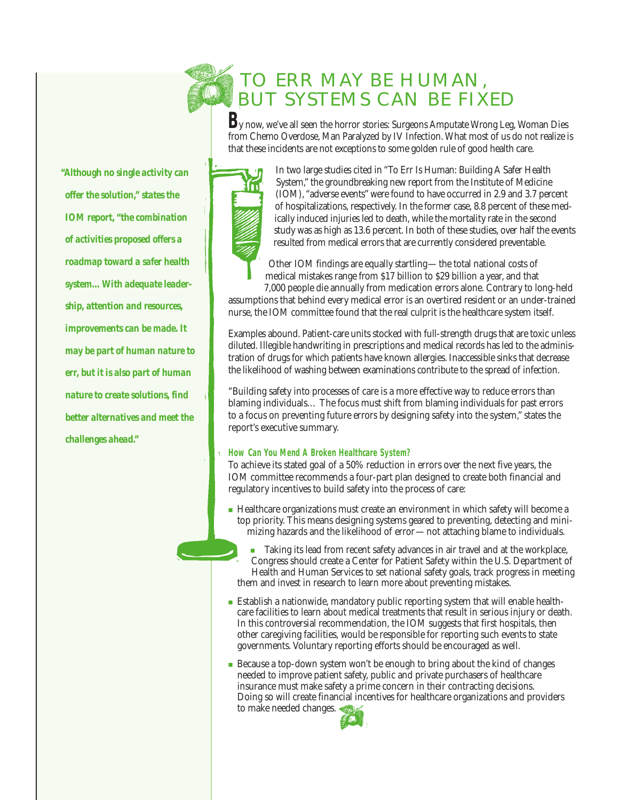# TO ERR MAY BE HUMAN, BUT SYSTEMS CAN BE FIXED

**B**y now, we've all seen the horror stories: Surgeons Amputate Wrong Leg, Woman Dies from Chemo Overdose, Man Paralyzed by IV Infection. What most of us do not realize is that these incidents are not exceptions to some golden rule of good health care.



In two large studies cited in "To Err Is Human: Building A Safer Health System," the groundbreaking new report from the Institute of Medicine (IOM), "adverse events"were found to have occurred in 2.9 and 3.7 percent of hospitalizations, respectively. In the former case, 8.8 percent of these medically induced injuries led to death, while the mortality rate in the second study was as high as 13.6 percent. In both of these studies, over half the events resulted from medical errors that are currently considered preventable.

Other IOM findings are equally startling—the total national costs of medical mistakes range from \$17 billion to \$29 billion a year, and that

7,000 people die annually from medication errors alone. Contrary to long-held assumptions that behind every medical error is an overtired resident or an under-trained nurse, the IOM committee found that the real culprit is the healthcare system itself.

Examples abound. Patient-care units stocked with full-strength drugs that are toxic unless diluted. Illegible handwriting in prescriptions and medical records has led to the administration of drugs for which patients have known allergies. Inaccessible sinks that decrease the likelihood of washing between examinations contribute to the spread of infection.

"Building safety into processes of care is a more effective way to reduce errors than blaming individuals… The focus must shift from blaming individuals for past errors to a focus on preventing future errors by designing safety into the system," states the report's executive summary.

#### **How Can You Mend A Broken Healthcare System?**

To achieve its stated goal of a 50% reduction in errors over the next five years, the IOM committee recommends a four-part plan designed to create both financial and regulatory incentives to build safety into the process of care:

- Healthcare organizations must create an environment in which safety will become a top priority. This means designing systems geared to preventing, detecting and minimizing hazards and the likelihood of error—not attaching blame to individuals.
	- Taking its lead from recent safety advances in air travel and at the workplace, Congress should create a Center for Patient Safety within the U.S. Department of Health and Human Services to set national safety goals, track progress in meeting them and invest in research to learn more about preventing mistakes.
- Establish a nationwide, mandatory public reporting system that will enable healthcare facilities to learn about medical treatments that result in serious injury or death. In this controversial recommendation, the IOM suggests that first hospitals, then other caregiving facilities, would be responsible for reporting such events to state governments. Voluntary reporting efforts should be encouraged as well.
- Because a top-down system won't be enough to bring about the kind of changes needed to improve patient safety, public and private purchasers of healthcare insurance must make safety a prime concern in their contracting decisions. Doing so will create financial incentives for healthcare organizations and providers to make needed changes.



*"Although no single activity can offer the solution," states the IOM report, "the combination of activities proposed offers a roadmap toward a safer health system…With adequate leadership, attention and resources, improvements can be made. It may be part of human nature to err, but it is also part of human nature to create solutions, find better alternatives and meet the challenges ahead."*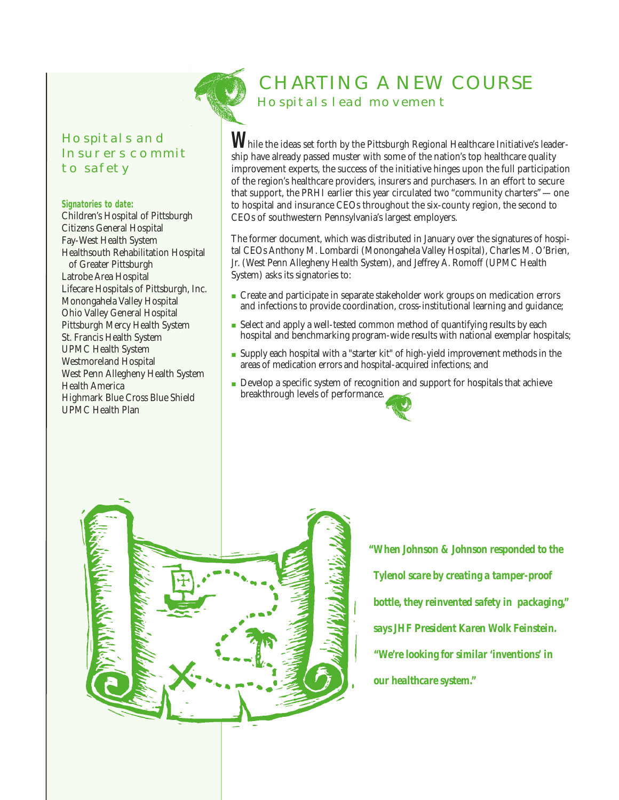# Hospitals and Insurers commit **TO SAFETY**

#### **Signatories to date:**

Children's Hospital of Pittsburgh Citizens General Hospital Fay-West Health System Healthsouth Rehabilitation Hospital of Greater Pittsburgh Latrobe Area Hospital Lifecare Hospitals of Pittsburgh, Inc. Monongahela Valley Hospital Ohio Valley General Hospital Pittsburgh Mercy Health System St. Francis Health System UPMC Health System Westmoreland Hospital West Penn Allegheny Health System Health America Highmark Blue Cross Blue Shield UPMC Health Plan



# CHARTING A NEW COURSE Hospitals lead movement

While the ideas set forth by the Pittsburgh Regional Healthcare Initiative's leadership have already passed muster with some of the nation's top healthcare quality improvement experts, the success of the initiative hinges upon the full participation of the region's healthcare providers, insurers and purchasers. In an effort to secure that support, the PRHI earlier this year circulated two "community charters"—one to hospital and insurance CEOs throughout the six-county region, the second to CEOs of southwestern Pennsylvania's largest employers.

The former document, which was distributed in January over the signatures of hospital CEOs Anthony M. Lombardi (Monongahela Valley Hospital), Charles M. O'Brien, Jr. (West Penn Allegheny Health System), and Jeffrey A. Romoff (UPMC Health System) asks its signatories to:

- Create and participate in separate stakeholder work groups on medication errors and infections to provide coordination, cross-institutional learning and guidance;
- Select and apply a well-tested common method of quantifying results by each hospital and benchmarking program-wide results with national exemplar hospitals;
- Supply each hospital with a "starter kit" of high-yield improvement methods in the areas of medication errors and hospital-acquired infections; and
- Develop a specific system of recognition and support for hospitals that achieve breakthrough levels of performance.



*"When Johnson & Johnson responded to the Tylenol scare by creating a tamper-proof bottle, they reinvented safety in packaging," says JHF President Karen Wolk Feinstein. "We're looking for similar 'inventions' in our healthcare system."*